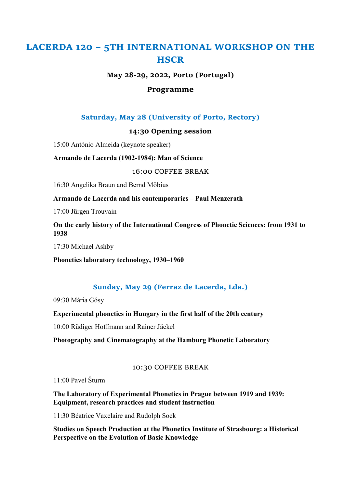# LACERDA 120 – 5TH INTERNATIONAL WORKSHOP ON THE **HSCR**

May 28-29, 2022, Porto (Portugal)

### Programme

## Saturday, May 28 (University of Porto, Rectory)

### 14:30 Opening session

15:00 António Almeida (keynote speaker)

Armando de Lacerda (1902-1984): Man of Science

16:00 COFFEE BREAK

16:30 Angelika Braun and Bernd Möbius

Armando de Lacerda and his contemporaries – Paul Menzerath

17:00 Jürgen Trouvain

On the early history of the International Congress of Phonetic Sciences: from 1931 to 1938

17:30 Michael Ashby

Phonetics laboratory technology, 1930–1960

## Sunday, May 29 (Ferraz de Lacerda, Lda.)

09:30 Mária Gósy

Experimental phonetics in Hungary in the first half of the 20th century

10:00 Rüdiger Hoffmann and Rainer Jäckel

Photography and Cinematography at the Hamburg Phonetic Laboratory

#### 10:30 COFFEE BREAK

11:00 Pavel Šturm

The Laboratory of Experimental Phonetics in Prague between 1919 and 1939: Equipment, research practices and student instruction

11:30 Béatrice Vaxelaire and Rudolph Sock

Studies on Speech Production at the Phonetics Institute of Strasbourg: a Historical Perspective on the Evolution of Basic Knowledge